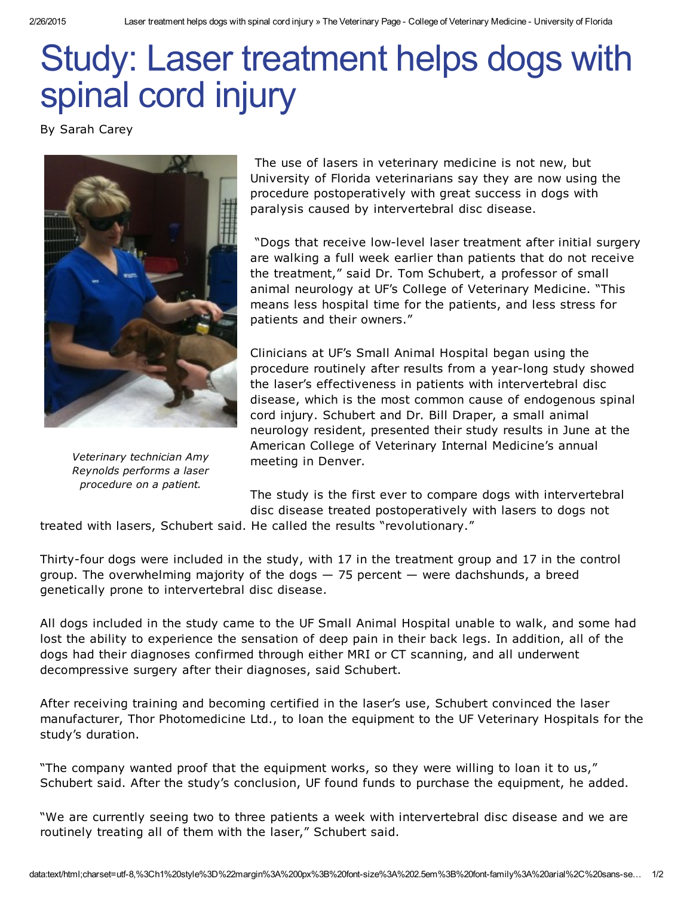## Study: Laser treatment helps dogs with spinal cord injury

By Sarah Carey



*Veterinary technician Amy Reynolds performs a laser procedure on a patient.*

The use of lasers in veterinary medicine is not new, but University of Florida veterinarians say they are now using the procedure postoperatively with great success in dogs with paralysis caused by intervertebral disc disease.

"Dogs that receive low-level laser treatment after initial surgery are walking a full week earlier than patients that do not receive the treatment," said Dr. Tom Schubert, a professor of small animal neurology at UF's College of Veterinary Medicine. "This means less hospital time for the patients, and less stress for patients and their owners."

Clinicians at UF's Small Animal Hospital began using the procedure routinely after results from a year-long study showed the laser's effectiveness in patients with intervertebral disc disease, which is the most common cause of endogenous spinal cord injury. Schubert and Dr. Bill Draper, a small animal neurology resident, presented their study results in June at the American College of Veterinary Internal Medicine's annual meeting in Denver.

The study is the first ever to compare dogs with intervertebral disc disease treated postoperatively with lasers to dogs not treated with lasers, Schubert said. He called the results "revolutionary."

Thirty-four dogs were included in the study, with 17 in the treatment group and 17 in the control group. The overwhelming majority of the dogs — 75 percent — were dachshunds, a breed genetically prone to intervertebral disc disease.

All dogs included in the study came to the UF Small Animal Hospital unable to walk, and some had lost the ability to experience the sensation of deep pain in their back legs. In addition, all of the dogs had their diagnoses confirmed through either MRI or CT scanning, and all underwent decompressive surgery after their diagnoses, said Schubert.

After receiving training and becoming certified in the laser's use, Schubert convinced the laser manufacturer, Thor Photomedicine Ltd., to loan the equipment to the UF Veterinary Hospitals for the study's duration.

"The company wanted proof that the equipment works, so they were willing to loan it to us," Schubert said. After the study's conclusion, UF found funds to purchase the equipment, he added.

"We are currently seeing two to three patients a week with intervertebral disc disease and we are routinely treating all of them with the laser," Schubert said.